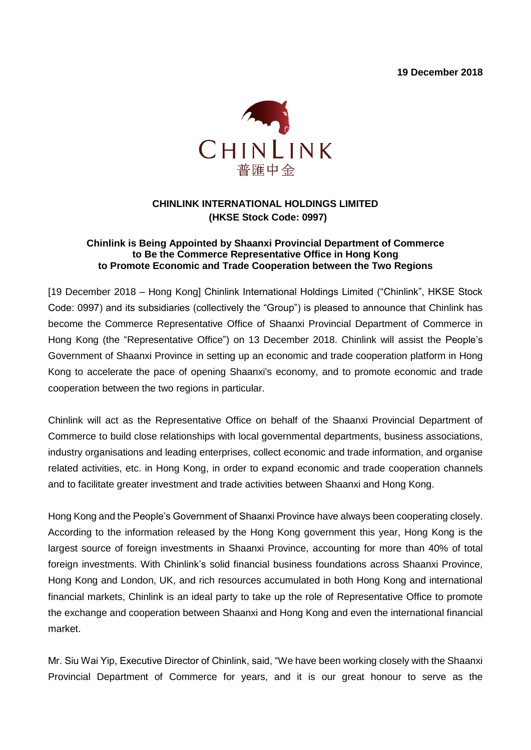**19 December 2018**



## **CHINLINK INTERNATIONAL HOLDINGS LIMITED (HKSE Stock Code: 0997)**

## **Chinlink is Being Appointed by Shaanxi Provincial Department of Commerce to Be the Commerce Representative Office in Hong Kong to Promote Economic and Trade Cooperation between the Two Regions**

[19 December 2018 – Hong Kong] Chinlink International Holdings Limited ("Chinlink", HKSE Stock Code: 0997) and its subsidiaries (collectively the "Group") is pleased to announce that Chinlink has become the Commerce Representative Office of Shaanxi Provincial Department of Commerce in Hong Kong (the "Representative Office") on 13 December 2018. Chinlink will assist the People's Government of Shaanxi Province in setting up an economic and trade cooperation platform in Hong Kong to accelerate the pace of opening Shaanxi's economy, and to promote economic and trade cooperation between the two regions in particular.

Chinlink will act as the Representative Office on behalf of the Shaanxi Provincial Department of Commerce to build close relationships with local governmental departments, business associations, industry organisations and leading enterprises, collect economic and trade information, and organise related activities, etc. in Hong Kong, in order to expand economic and trade cooperation channels and to facilitate greater investment and trade activities between Shaanxi and Hong Kong.

Hong Kong and the People's Government of Shaanxi Province have always been cooperating closely. According to the information released by the Hong Kong government this year, Hong Kong is the largest source of foreign investments in Shaanxi Province, accounting for more than 40% of total foreign investments. With Chinlink's solid financial business foundations across Shaanxi Province, Hong Kong and London, UK, and rich resources accumulated in both Hong Kong and international financial markets, Chinlink is an ideal party to take up the role of Representative Office to promote the exchange and cooperation between Shaanxi and Hong Kong and even the international financial market.

Mr. Siu Wai Yip, Executive Director of Chinlink, said, "We have been working closely with the Shaanxi Provincial Department of Commerce for years, and it is our great honour to serve as the